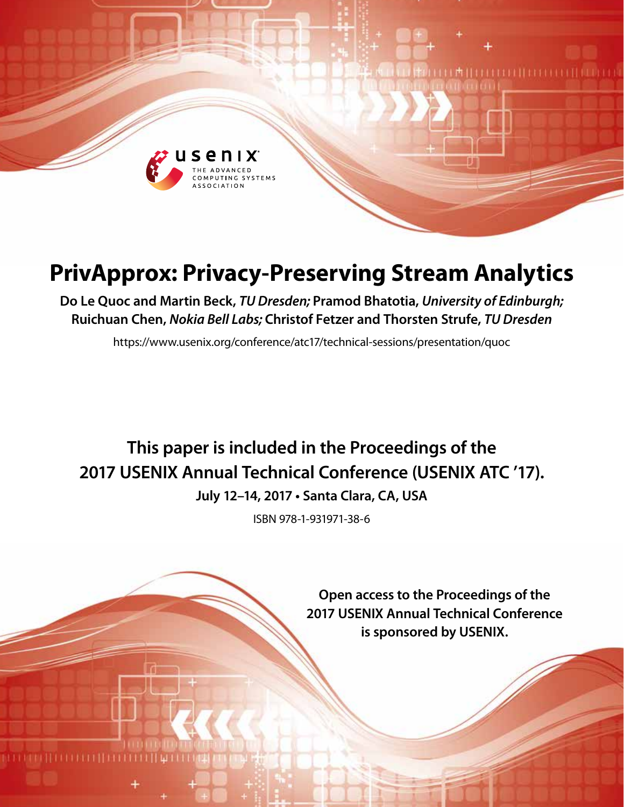

# **PrivApprox: Privacy-Preserving Stream Analytics**

**Do Le Quoc and Martin Beck,** *TU Dresden;* **Pramod Bhatotia,** *University of Edinburgh;*  **Ruichuan Chen,** *Nokia Bell Labs;* **Christof Fetzer and Thorsten Strufe,** *TU Dresden*

https://www.usenix.org/conference/atc17/technical-sessions/presentation/quoc

# **This paper is included in the Proceedings of the 2017 USENIX Annual Technical Conference (USENIX ATC '17).**

**July 12–14, 2017 • Santa Clara, CA, USA**

ISBN 978-1-931971-38-6

**Open access to the Proceedings of the 2017 USENIX Annual Technical Conference is sponsored by USENIX.**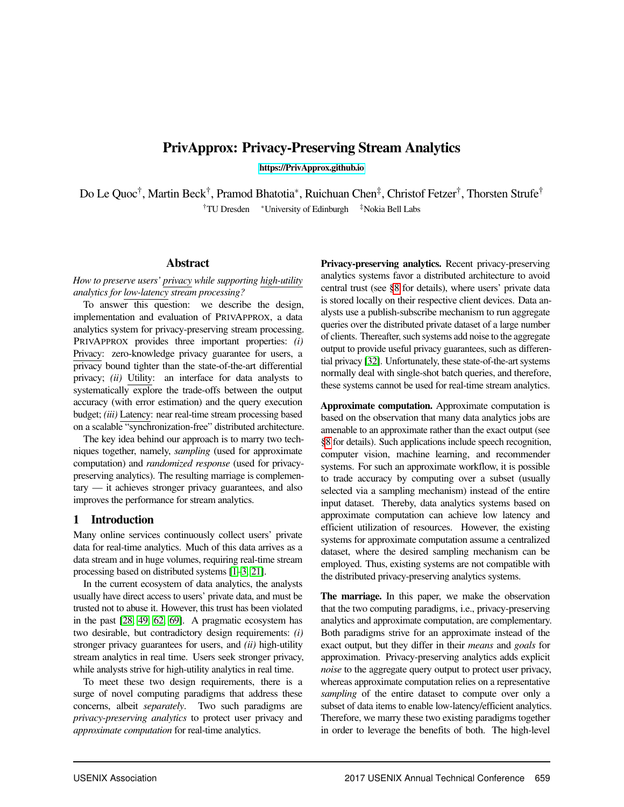# PrivApprox: Privacy-Preserving Stream Analytics

[https://PrivApprox.github.io](https://privapprox.github.io/)

Do Le Quoc<sup>†</sup>, Martin Beck<sup>†</sup>, Pramod Bhatotia<sup>∗</sup>, Ruichuan Chen<sup>‡</sup>, Christof Fetzer<sup>†</sup>, Thorsten Strufe<sup>†</sup> †TU Dresden <sup>∗</sup>University of Edinburgh ‡Nokia Bell Labs

## Abstract

*How to preserve users' privacy while supporting high-utility analytics for low-latency stream processing?*

To answer this question: we describe the design, implementation and evaluation of PRIVAPPROX, a data analytics system for privacy-preserving stream processing. PRIVAPPROX provides three important properties: *(i)* Privacy: zero-knowledge privacy guarantee for users, a privacy bound tighter than the state-of-the-art differential privacy; *(ii)* Utility: an interface for data analysts to systematically explore the trade-offs between the output accuracy (with error estimation) and the query execution budget; *(iii)* Latency: near real-time stream processing based on a scalable "synchronization-free" distributed architecture.

The key idea behind our approach is to marry two techniques together, namely, *sampling* (used for approximate computation) and *randomized response* (used for privacypreserving analytics). The resulting marriage is complementary — it achieves stronger privacy guarantees, and also improves the performance for stream analytics.

## 1 Introduction

Many online services continuously collect users' private data for real-time analytics. Much of this data arrives as a data stream and in huge volumes, requiring real-time stream processing based on distributed systems [\[1–](#page-12-0)[3,](#page-12-1) [21\]](#page-12-2).

In the current ecosystem of data analytics, the analysts usually have direct access to users' private data, and must be trusted not to abuse it. However, this trust has been violated in the past [\[28,](#page-12-3) [49,](#page-13-0) [62,](#page-13-1) [69\]](#page-14-0). A pragmatic ecosystem has two desirable, but contradictory design requirements: *(i)* stronger privacy guarantees for users, and *(ii)* high-utility stream analytics in real time. Users seek stronger privacy, while analysts strive for high-utility analytics in real time.

To meet these two design requirements, there is a surge of novel computing paradigms that address these concerns, albeit *separately*. Two such paradigms are *privacy-preserving analytics* to protect user privacy and *approximate computation* for real-time analytics.

Privacy-preserving analytics. Recent privacy-preserving analytics systems favor a distributed architecture to avoid central trust (see [§8](#page-11-0) for details), where users' private data is stored locally on their respective client devices. Data analysts use a publish-subscribe mechanism to run aggregate queries over the distributed private dataset of a large number of clients. Thereafter, such systems add noise to the aggregate output to provide useful privacy guarantees, such as differential privacy [\[32\]](#page-12-4). Unfortunately, these state-of-the-art systems normally deal with single-shot batch queries, and therefore, these systems cannot be used for real-time stream analytics.

Approximate computation. Approximate computation is based on the observation that many data analytics jobs are amenable to an approximate rather than the exact output (see [§8](#page-11-0) for details). Such applications include speech recognition, computer vision, machine learning, and recommender systems. For such an approximate workflow, it is possible to trade accuracy by computing over a subset (usually selected via a sampling mechanism) instead of the entire input dataset. Thereby, data analytics systems based on approximate computation can achieve low latency and efficient utilization of resources. However, the existing systems for approximate computation assume a centralized dataset, where the desired sampling mechanism can be employed. Thus, existing systems are not compatible with the distributed privacy-preserving analytics systems.

The marriage. In this paper, we make the observation that the two computing paradigms, i.e., privacy-preserving analytics and approximate computation, are complementary. Both paradigms strive for an approximate instead of the exact output, but they differ in their *means* and *goals* for approximation. Privacy-preserving analytics adds explicit *noise* to the aggregate query output to protect user privacy, whereas approximate computation relies on a representative *sampling* of the entire dataset to compute over only a subset of data items to enable low-latency/efficient analytics. Therefore, we marry these two existing paradigms together in order to leverage the benefits of both. The high-level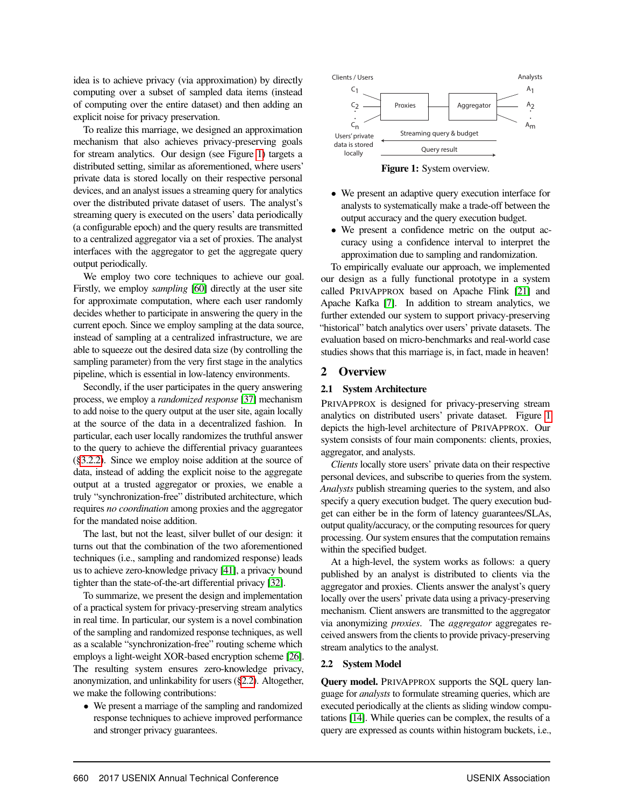idea is to achieve privacy (via approximation) by directly computing over a subset of sampled data items (instead of computing over the entire dataset) and then adding an explicit noise for privacy preservation.

To realize this marriage, we designed an approximation mechanism that also achieves privacy-preserving goals for stream analytics. Our design (see Figure [1\)](#page-2-0) targets a distributed setting, similar as aforementioned, where users' private data is stored locally on their respective personal devices, and an analyst issues a streaming query for analytics over the distributed private dataset of users. The analyst's streaming query is executed on the users' data periodically (a configurable epoch) and the query results are transmitted to a centralized aggregator via a set of proxies. The analyst interfaces with the aggregator to get the aggregate query output periodically.

We employ two core techniques to achieve our goal. Firstly, we employ *sampling* [\[60\]](#page-13-2) directly at the user site for approximate computation, where each user randomly decides whether to participate in answering the query in the current epoch. Since we employ sampling at the data source, instead of sampling at a centralized infrastructure, we are able to squeeze out the desired data size (by controlling the sampling parameter) from the very first stage in the analytics pipeline, which is essential in low-latency environments.

Secondly, if the user participates in the query answering process, we employ a *randomized response* [\[37\]](#page-13-3) mechanism to add noise to the query output at the user site, again locally at the source of the data in a decentralized fashion. In particular, each user locally randomizes the truthful answer to the query to achieve the differential privacy guarantees ([§3.2.2\)](#page-4-0). Since we employ noise addition at the source of data, instead of adding the explicit noise to the aggregate output at a trusted aggregator or proxies, we enable a truly "synchronization-free" distributed architecture, which requires *no coordination* among proxies and the aggregator for the mandated noise addition.

The last, but not the least, silver bullet of our design: it turns out that the combination of the two aforementioned techniques (i.e., sampling and randomized response) leads us to achieve zero-knowledge privacy [\[41\]](#page-13-4), a privacy bound tighter than the state-of-the-art differential privacy [\[32\]](#page-12-4).

To summarize, we present the design and implementation of a practical system for privacy-preserving stream analytics in real time. In particular, our system is a novel combination of the sampling and randomized response techniques, as well as a scalable "synchronization-free" routing scheme which employs a light-weight XOR-based encryption scheme [\[26\]](#page-12-5). The resulting system ensures zero-knowledge privacy, anonymization, and unlinkability for users ([§2.2\)](#page-2-1). Altogether, we make the following contributions:

• We present a marriage of the sampling and randomized response techniques to achieve improved performance and stronger privacy guarantees.



<span id="page-2-0"></span>Figure 1: System overview.

- We present an adaptive query execution interface for analysts to systematically make a trade-off between the output accuracy and the query execution budget.
- We present a confidence metric on the output accuracy using a confidence interval to interpret the approximation due to sampling and randomization.

To empirically evaluate our approach, we implemented our design as a fully functional prototype in a system called PRIVAPPROX based on Apache Flink [\[21\]](#page-12-2) and Apache Kafka [\[7\]](#page-12-6). In addition to stream analytics, we further extended our system to support privacy-preserving "historical" batch analytics over users' private datasets. The evaluation based on micro-benchmarks and real-world case studies shows that this marriage is, in fact, made in heaven!

## 2 Overview

#### 2.1 System Architecture

PRIVAPPROX is designed for privacy-preserving stream analytics on distributed users' private dataset. Figure [1](#page-2-0) depicts the high-level architecture of PRIVAPPROX. Our system consists of four main components: clients, proxies, aggregator, and analysts.

*Clients* locally store users' private data on their respective personal devices, and subscribe to queries from the system. *Analysts* publish streaming queries to the system, and also specify a query execution budget. The query execution budget can either be in the form of latency guarantees/SLAs, output quality/accuracy, or the computing resources for query processing. Our system ensures that the computation remains within the specified budget.

At a high-level, the system works as follows: a query published by an analyst is distributed to clients via the aggregator and proxies. Clients answer the analyst's query locally over the users' private data using a privacy-preserving mechanism. Client answers are transmitted to the aggregator via anonymizing *proxies*. The *aggregator* aggregates received answers from the clients to provide privacy-preserving stream analytics to the analyst.

#### <span id="page-2-1"></span>2.2 System Model

Query model. PRIVAPPROX supports the SQL query language for *analysts* to formulate streaming queries, which are executed periodically at the clients as sliding window computations [\[14\]](#page-12-7). While queries can be complex, the results of a query are expressed as counts within histogram buckets, i.e.,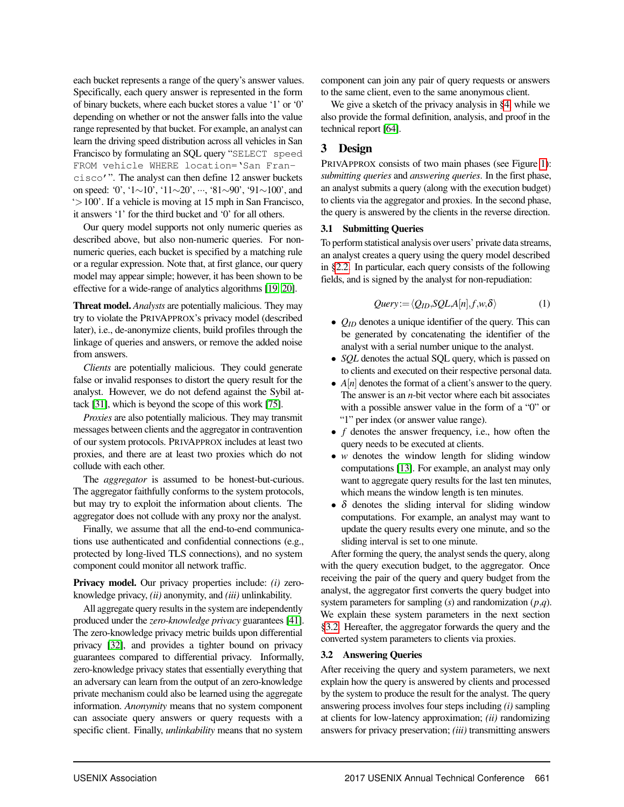each bucket represents a range of the query's answer values. Specifically, each query answer is represented in the form of binary buckets, where each bucket stores a value '1' or '0' depending on whether or not the answer falls into the value range represented by that bucket. For example, an analyst can learn the driving speed distribution across all vehicles in San Francisco by formulating an SQL query "SELECT speed FROM vehicle WHERE location='San Francisco'". The analyst can then define 12 answer buckets on speed: '0', '1∼10', '11∼20', ···, '81∼90', '91∼100', and '>100'. If a vehicle is moving at 15 mph in San Francisco, it answers '1' for the third bucket and '0' for all others.

Our query model supports not only numeric queries as described above, but also non-numeric queries. For nonnumeric queries, each bucket is specified by a matching rule or a regular expression. Note that, at first glance, our query model may appear simple; however, it has been shown to be effective for a wide-range of analytics algorithms [\[19,](#page-12-8) [20\]](#page-12-9).

Threat model. *Analysts* are potentially malicious. They may try to violate the PRIVAPPROX's privacy model (described later), i.e., de-anonymize clients, build profiles through the linkage of queries and answers, or remove the added noise from answers.

*Clients* are potentially malicious. They could generate false or invalid responses to distort the query result for the analyst. However, we do not defend against the Sybil attack [\[31\]](#page-12-10), which is beyond the scope of this work [\[75\]](#page-14-1).

*Proxies* are also potentially malicious. They may transmit messages between clients and the aggregator in contravention of our system protocols. PRIVAPPROX includes at least two proxies, and there are at least two proxies which do not collude with each other.

The *aggregator* is assumed to be honest-but-curious. The aggregator faithfully conforms to the system protocols, but may try to exploit the information about clients. The aggregator does not collude with any proxy nor the analyst.

Finally, we assume that all the end-to-end communications use authenticated and confidential connections (e.g., protected by long-lived TLS connections), and no system component could monitor all network traffic.

Privacy model. Our privacy properties include: *(i)* zeroknowledge privacy, *(ii)* anonymity, and *(iii)* unlinkability.

All aggregate query results in the system are independently produced under the *zero-knowledge privacy* guarantees [\[41\]](#page-13-4). The zero-knowledge privacy metric builds upon differential privacy [\[32\]](#page-12-4), and provides a tighter bound on privacy guarantees compared to differential privacy. Informally, zero-knowledge privacy states that essentially everything that an adversary can learn from the output of an zero-knowledge private mechanism could also be learned using the aggregate information. *Anonymity* means that no system component can associate query answers or query requests with a specific client. Finally, *unlinkability* means that no system

component can join any pair of query requests or answers to the same client, even to the same anonymous client.

We give a sketch of the privacy analysis in [§4,](#page-6-0) while we also provide the formal definition, analysis, and proof in the technical report [\[64\]](#page-13-5).

## 3 Design

PRIVAPPROX consists of two main phases (see Figure [1\)](#page-2-0): *submitting queries* and *answering queries*. In the first phase, an analyst submits a query (along with the execution budget) to clients via the aggregator and proxies. In the second phase, the query is answered by the clients in the reverse direction.

#### <span id="page-3-1"></span>3.1 Submitting Queries

To perform statistical analysis over users' private data streams, an analyst creates a query using the query model described in [§2.2.](#page-2-1) In particular, each query consists of the following fields, and is signed by the analyst for non-repudiation:

$$
Query := \langle Q_{ID}, SQL, A[n], f, w, \delta \rangle \tag{1}
$$

- *Q<sub>ID</sub>* denotes a unique identifier of the query. This can be generated by concatenating the identifier of the analyst with a serial number unique to the analyst.
- *SQL* denotes the actual SQL query, which is passed on to clients and executed on their respective personal data.
- *A*[*n*] denotes the format of a client's answer to the query. The answer is an *n*-bit vector where each bit associates with a possible answer value in the form of a "0" or "1" per index (or answer value range).
- *f* denotes the answer frequency, i.e., how often the query needs to be executed at clients.
- *w* denotes the window length for sliding window computations [\[13\]](#page-12-11). For example, an analyst may only want to aggregate query results for the last ten minutes, which means the window length is ten minutes.
- $\delta$  denotes the sliding interval for sliding window computations. For example, an analyst may want to update the query results every one minute, and so the sliding interval is set to one minute.

After forming the query, the analyst sends the query, along with the query execution budget, to the aggregator. Once receiving the pair of the query and query budget from the analyst, the aggregator first converts the query budget into system parameters for sampling (*s*) and randomization (*p*,*q*). We explain these system parameters in the next section [§3.2.](#page-3-0) Hereafter, the aggregator forwards the query and the converted system parameters to clients via proxies.

#### <span id="page-3-0"></span>3.2 Answering Queries

After receiving the query and system parameters, we next explain how the query is answered by clients and processed by the system to produce the result for the analyst. The query answering process involves four steps including *(i)* sampling at clients for low-latency approximation; *(ii)* randomizing answers for privacy preservation; *(iii)* transmitting answers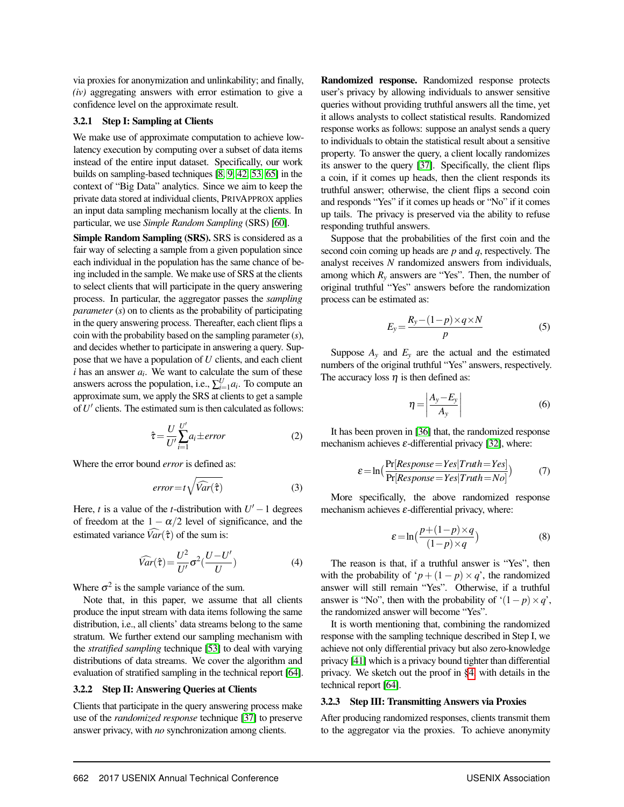via proxies for anonymization and unlinkability; and finally, *(iv)* aggregating answers with error estimation to give a confidence level on the approximate result.

## <span id="page-4-4"></span>3.2.1 Step I: Sampling at Clients

We make use of approximate computation to achieve lowlatency execution by computing over a subset of data items instead of the entire input dataset. Specifically, our work builds on sampling-based techniques [\[8,](#page-12-12) [9,](#page-12-13) [42,](#page-13-6) [53,](#page-13-7) [65\]](#page-13-8) in the context of "Big Data" analytics. Since we aim to keep the private data stored at individual clients, PRIVAPPROX applies an input data sampling mechanism locally at the clients. In particular, we use *Simple Random Sampling* (SRS) [\[60\]](#page-13-2).

Simple Random Sampling (SRS). SRS is considered as a fair way of selecting a sample from a given population since each individual in the population has the same chance of being included in the sample. We make use of SRS at the clients to select clients that will participate in the query answering process. In particular, the aggregator passes the *sampling parameter* (*s*) on to clients as the probability of participating in the query answering process. Thereafter, each client flips a coin with the probability based on the sampling parameter (*s*), and decides whether to participate in answering a query. Suppose that we have a population of *U* clients, and each client  $i$  has an answer  $a_i$ . We want to calculate the sum of these answers across the population, i.e.,  $\sum_{i=1}^{U} a_i$ . To compute an approximate sum, we apply the SRS at clients to get a sample of U' clients. The estimated sum is then calculated as follows:

<span id="page-4-2"></span>
$$
\hat{\tau} = \frac{U}{U'} \sum_{i=1}^{U'} a_i \pm error \tag{2}
$$

Where the error bound *error* is defined as:

<span id="page-4-1"></span>
$$
error = t\sqrt{\widehat{Var}(\hat{\tau})}
$$
 (3)

Here, *t* is a value of the *t*-distribution with  $U' - 1$  degrees of freedom at the  $1 - \alpha/2$  level of significance, and the estimated variance  $\widehat{Var}(\hat{\tau})$  of the sum is:

$$
\widehat{Var}(\hat{\tau}) = \frac{U^2}{U'} \sigma^2(\frac{U - U'}{U})
$$
\n(4)

Where  $\sigma^2$  is the sample variance of the sum.

Note that, in this paper, we assume that all clients produce the input stream with data items following the same distribution, i.e., all clients' data streams belong to the same stratum. We further extend our sampling mechanism with the *stratified sampling* technique [\[53\]](#page-13-7) to deal with varying distributions of data streams. We cover the algorithm and evaluation of stratified sampling in the technical report [\[64\]](#page-13-5).

#### <span id="page-4-0"></span>3.2.2 Step II: Answering Queries at Clients

Clients that participate in the query answering process make use of the *randomized response* technique [\[37\]](#page-13-3) to preserve answer privacy, with *no* synchronization among clients.

Randomized response. Randomized response protects user's privacy by allowing individuals to answer sensitive queries without providing truthful answers all the time, yet it allows analysts to collect statistical results. Randomized response works as follows: suppose an analyst sends a query to individuals to obtain the statistical result about a sensitive property. To answer the query, a client locally randomizes its answer to the query [\[37\]](#page-13-3). Specifically, the client flips a coin, if it comes up heads, then the client responds its truthful answer; otherwise, the client flips a second coin and responds "Yes" if it comes up heads or "No" if it comes up tails. The privacy is preserved via the ability to refuse responding truthful answers.

Suppose that the probabilities of the first coin and the second coin coming up heads are *p* and *q*, respectively. The analyst receives *N* randomized answers from individuals, among which  $R<sub>v</sub>$  answers are "Yes". Then, the number of original truthful "Yes" answers before the randomization process can be estimated as:

$$
E_y = \frac{R_y - (1 - p) \times q \times N}{p} \tag{5}
$$

Suppose  $A_y$  and  $E_y$  are the actual and the estimated numbers of the original truthful "Yes" answers, respectively. The accuracy loss  $\eta$  is then defined as:

<span id="page-4-3"></span>
$$
\eta = \left| \frac{A_y - E_y}{A_y} \right| \tag{6}
$$

It has been proven in [\[36\]](#page-13-9) that, the randomized response mechanism achieves  $\varepsilon$ -differential privacy [\[32\]](#page-12-4), where:

$$
\varepsilon = \ln\left(\frac{\Pr[Response = Yes|Truth = Yes]}{\Pr[Response = Yes|Truth = No]}\right)
$$
 (7)

More specifically, the above randomized response mechanism achieves  $\varepsilon$ -differential privacy, where:

$$
\varepsilon = \ln\left(\frac{p + (1 - p) \times q}{(1 - p) \times q}\right) \tag{8}
$$

The reason is that, if a truthful answer is "Yes", then with the probability of ' $p + (1 - p) \times q$ ', the randomized answer will still remain "Yes". Otherwise, if a truthful answer is "No", then with the probability of ' $(1-p) \times q$ ', the randomized answer will become "Yes".

It is worth mentioning that, combining the randomized response with the sampling technique described in Step I, we achieve not only differential privacy but also zero-knowledge privacy [\[41\]](#page-13-4) which is a privacy bound tighter than differential privacy. We sketch out the proof in [§4,](#page-6-0) with details in the technical report [\[64\]](#page-13-5).

#### <span id="page-4-5"></span>3.2.3 Step III: Transmitting Answers via Proxies

After producing randomized responses, clients transmit them to the aggregator via the proxies. To achieve anonymity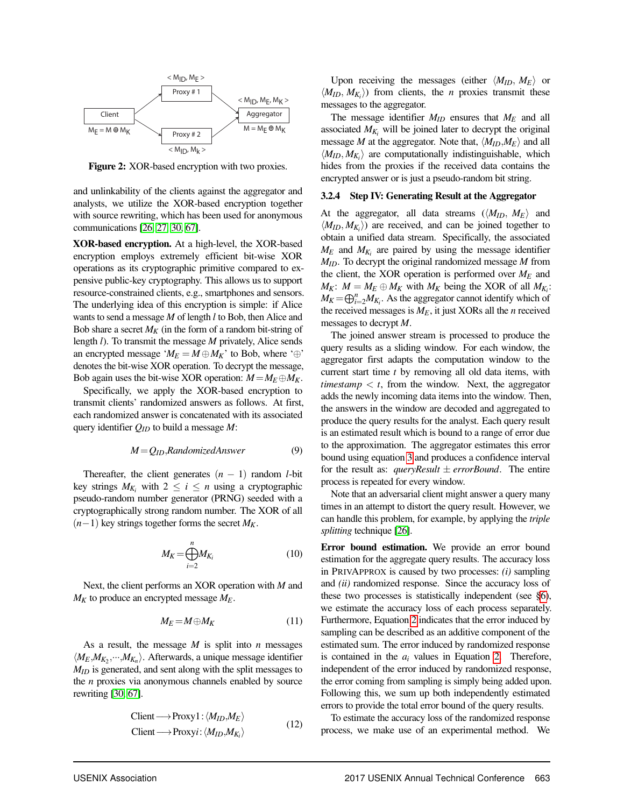

Figure 2: XOR-based encryption with two proxies.

and unlinkability of the clients against the aggregator and analysts, we utilize the XOR-based encryption together with source rewriting, which has been used for anonymous communications [\[26,](#page-12-5) [27,](#page-12-14) [30,](#page-12-15) [67\]](#page-14-2).

XOR-based encryption. At a high-level, the XOR-based encryption employs extremely efficient bit-wise XOR operations as its cryptographic primitive compared to expensive public-key cryptography. This allows us to support resource-constrained clients, e.g., smartphones and sensors. The underlying idea of this encryption is simple: if Alice wants to send a message *M* of length *l* to Bob, then Alice and Bob share a secret  $M_K$  (in the form of a random bit-string of length *l*). To transmit the message *M* privately, Alice sends an encrypted message ' $M_E = M \oplus M_K$ ' to Bob, where '⊕' denotes the bit-wise XOR operation. To decrypt the message, Bob again uses the bit-wise XOR operation:  $M = M_E \oplus M_K$ .

Specifically, we apply the XOR-based encryption to transmit clients' randomized answers as follows. At first, each randomized answer is concatenated with its associated query identifier *QID* to build a message *M*:

$$
M = Q_{ID}, Randomized Answer
$$
 (9)

Thereafter, the client generates  $(n - 1)$  random *l*-bit key strings  $M_{K_i}$  with  $2 \le i \le n$  using a cryptographic pseudo-random number generator (PRNG) seeded with a cryptographically strong random number. The XOR of all  $(n-1)$  key strings together forms the secret  $M_K$ .

$$
M_K = \bigoplus_{i=2}^n M_{K_i} \tag{10}
$$

Next, the client performs an XOR operation with *M* and *M<sup>K</sup>* to produce an encrypted message *ME*.

$$
M_E = M \oplus M_K \tag{11}
$$

As a result, the message *M* is split into *n* messages  $\langle M_E, M_{K_2}, \cdots, M_{K_n} \rangle$ . Afterwards, a unique message identifier *MID* is generated, and sent along with the split messages to the *n* proxies via anonymous channels enabled by source rewriting [\[30,](#page-12-15) [67\]](#page-14-2).

Client 
$$
\longrightarrow
$$
 Proxy1:  $\langle M_{ID}, M_E \rangle$   
Client  $\longrightarrow$  Proxyi:  $\langle M_{ID}, M_{K_i} \rangle$  (12)

Upon receiving the messages (either  $\langle M_{ID}, M_E \rangle$  or  $\langle M_{ID}, M_{K_i} \rangle$  from clients, the *n* proxies transmit these messages to the aggregator.

The message identifier *MID* ensures that *M<sup>E</sup>* and all associated  $M_{K_i}$  will be joined later to decrypt the original message *M* at the aggregator. Note that,  $\langle M_{ID}, M_E \rangle$  and all  $\langle M_{ID}, M_{K_i} \rangle$  are computationally indistinguishable, which hides from the proxies if the received data contains the encrypted answer or is just a pseudo-random bit string.

#### <span id="page-5-0"></span>3.2.4 Step IV: Generating Result at the Aggregator

At the aggregator, all data streams  $(\langle M_{ID}, M_E \rangle)$  and  $\langle M_{ID}, M_{K_i} \rangle$  are received, and can be joined together to obtain a unified data stream. Specifically, the associated  $M_E$  and  $M_{K_i}$  are paired by using the message identifier *MID*. To decrypt the original randomized message *M* from the client, the XOR operation is performed over *M<sup>E</sup>* and  $M_K$ :  $M = M_E \oplus M_K$  with  $M_K$  being the XOR of all  $M_{K_i}$ :  $M_K = \bigoplus_{i=2}^n M_{K_i}$ . As the aggregator cannot identify which of the received messages is *ME*, it just XORs all the *n* received messages to decrypt *M*.

The joined answer stream is processed to produce the query results as a sliding window. For each window, the aggregator first adapts the computation window to the current start time *t* by removing all old data items, with *timestamp*  $\lt t$ , from the window. Next, the aggregator adds the newly incoming data items into the window. Then, the answers in the window are decoded and aggregated to produce the query results for the analyst. Each query result is an estimated result which is bound to a range of error due to the approximation. The aggregator estimates this error bound using equation [3](#page-4-1) and produces a confidence interval for the result as: *queryResult*  $\pm$  *errorBound*. The entire process is repeated for every window.

Note that an adversarial client might answer a query many times in an attempt to distort the query result. However, we can handle this problem, for example, by applying the *triple splitting* technique [\[26\]](#page-12-5).

Error bound estimation. We provide an error bound estimation for the aggregate query results. The accuracy loss in PRIVAPPROX is caused by two processes: *(i)* sampling and *(ii)* randomized response. Since the accuracy loss of these two processes is statistically independent (see [§6\)](#page-7-0), we estimate the accuracy loss of each process separately. Furthermore, Equation [2](#page-4-2) indicates that the error induced by sampling can be described as an additive component of the estimated sum. The error induced by randomized response is contained in the *a<sup>i</sup>* values in Equation [2.](#page-4-2) Therefore, independent of the error induced by randomized response, the error coming from sampling is simply being added upon. Following this, we sum up both independently estimated errors to provide the total error bound of the query results.

To estimate the accuracy loss of the randomized response process, we make use of an experimental method. We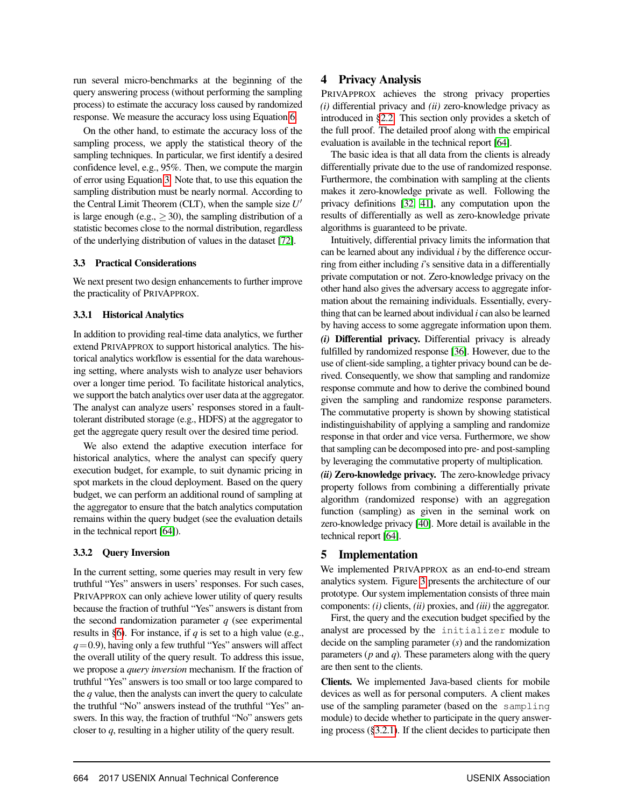run several micro-benchmarks at the beginning of the query answering process (without performing the sampling process) to estimate the accuracy loss caused by randomized response. We measure the accuracy loss using Equation [6.](#page-4-3)

On the other hand, to estimate the accuracy loss of the sampling process, we apply the statistical theory of the sampling techniques. In particular, we first identify a desired confidence level, e.g., 95%. Then, we compute the margin of error using Equation [3.](#page-4-1) Note that, to use this equation the sampling distribution must be nearly normal. According to the Central Limit Theorem (CLT), when the sample size  $U'$ is large enough (e.g.,  $\geq$  30), the sampling distribution of a statistic becomes close to the normal distribution, regardless of the underlying distribution of values in the dataset [\[72\]](#page-14-3).

#### 3.3 Practical Considerations

We next present two design enhancements to further improve the practicality of PRIVAPPROX.

### 3.3.1 Historical Analytics

In addition to providing real-time data analytics, we further extend PRIVAPPROX to support historical analytics. The historical analytics workflow is essential for the data warehousing setting, where analysts wish to analyze user behaviors over a longer time period. To facilitate historical analytics, we support the batch analytics over user data at the aggregator. The analyst can analyze users' responses stored in a faulttolerant distributed storage (e.g., HDFS) at the aggregator to get the aggregate query result over the desired time period.

We also extend the adaptive execution interface for historical analytics, where the analyst can specify query execution budget, for example, to suit dynamic pricing in spot markets in the cloud deployment. Based on the query budget, we can perform an additional round of sampling at the aggregator to ensure that the batch analytics computation remains within the query budget (see the evaluation details in the technical report [\[64\]](#page-13-5)).

## <span id="page-6-1"></span>3.3.2 Query Inversion

<span id="page-6-0"></span>In the current setting, some queries may result in very few truthful "Yes" answers in users' responses. For such cases, PRIVAPPROX can only achieve lower utility of query results because the fraction of truthful "Yes" answers is distant from the second randomization parameter  $q$  (see experimental results in [§6\)](#page-8-0). For instance, if *q* is set to a high value (e.g.,  $q=0.9$ ), having only a few truthful "Yes" answers will affect the overall utility of the query result. To address this issue, we propose a *query inversion* mechanism. If the fraction of truthful "Yes" answers is too small or too large compared to the *q* value, then the analysts can invert the query to calculate the truthful "No" answers instead of the truthful "Yes" answers. In this way, the fraction of truthful "No" answers gets closer to *q*, resulting in a higher utility of the query result.

# 4 Privacy Analysis

PRIVAPPROX achieves the strong privacy properties *(i)* differential privacy and *(ii)* zero-knowledge privacy as introduced in [§2.2.](#page-2-1) This section only provides a sketch of the full proof. The detailed proof along with the empirical evaluation is available in the technical report [\[64\]](#page-13-5).

The basic idea is that all data from the clients is already differentially private due to the use of randomized response. Furthermore, the combination with sampling at the clients makes it zero-knowledge private as well. Following the privacy definitions [\[32,](#page-12-4) [41\]](#page-13-4), any computation upon the results of differentially as well as zero-knowledge private algorithms is guaranteed to be private.

Intuitively, differential privacy limits the information that can be learned about any individual *i* by the difference occurring from either including *i*'s sensitive data in a differentially private computation or not. Zero-knowledge privacy on the other hand also gives the adversary access to aggregate information about the remaining individuals. Essentially, everything that can be learned about individual *i* can also be learned by having access to some aggregate information upon them. *(i)* Differential privacy. Differential privacy is already fulfilled by randomized response [\[36\]](#page-13-9). However, due to the use of client-side sampling, a tighter privacy bound can be derived. Consequently, we show that sampling and randomize response commute and how to derive the combined bound given the sampling and randomize response parameters. The commutative property is shown by showing statistical indistinguishability of applying a sampling and randomize response in that order and vice versa. Furthermore, we show that sampling can be decomposed into pre- and post-sampling by leveraging the commutative property of multiplication.

*(ii)* Zero-knowledge privacy. The zero-knowledge privacy property follows from combining a differentially private algorithm (randomized response) with an aggregation function (sampling) as given in the seminal work on zero-knowledge privacy [\[40\]](#page-13-10). More detail is available in the technical report [\[64\]](#page-13-5).

# 5 Implementation

We implemented PRIVAPPROX as an end-to-end stream analytics system. Figure [3](#page-7-1) presents the architecture of our prototype. Our system implementation consists of three main components: *(i)* clients, *(ii)* proxies, and *(iii)* the aggregator.

First, the query and the execution budget specified by the analyst are processed by the initializer module to decide on the sampling parameter (*s*) and the randomization parameters (*p* and *q*). These parameters along with the query are then sent to the clients.

Clients. We implemented Java-based clients for mobile devices as well as for personal computers. A client makes use of the sampling parameter (based on the sampling module) to decide whether to participate in the query answering process ([§3.2.1\)](#page-4-4). If the client decides to participate then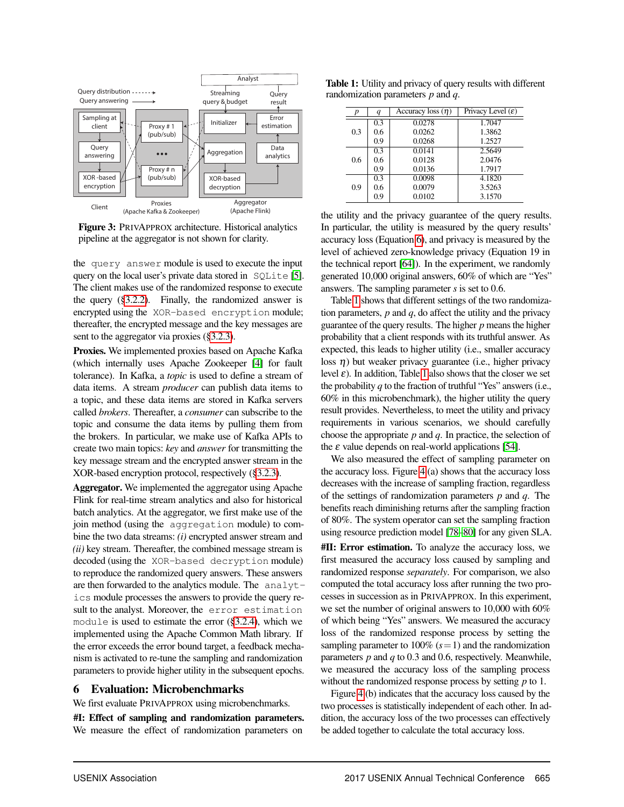

<span id="page-7-1"></span>Figure 3: PRIVAPPROX architecture. Historical analytics pipeline at the aggregator is not shown for clarity.

the query answer module is used to execute the input query on the local user's private data stored in SQLite [\[5\]](#page-12-16). The client makes use of the randomized response to execute the query ([§3.2.2\)](#page-4-0). Finally, the randomized answer is encrypted using the XOR-based encryption module; thereafter, the encrypted message and the key messages are sent to the aggregator via proxies ([§3.2.3\)](#page-4-5).

Proxies. We implemented proxies based on Apache Kafka (which internally uses Apache Zookeeper [\[4\]](#page-12-17) for fault tolerance). In Kafka, a *topic* is used to define a stream of data items. A stream *producer* can publish data items to a topic, and these data items are stored in Kafka servers called *brokers*. Thereafter, a *consumer* can subscribe to the topic and consume the data items by pulling them from the brokers. In particular, we make use of Kafka APIs to create two main topics: *key* and *answer* for transmitting the key message stream and the encrypted answer stream in the XOR-based encryption protocol, respectively ([§3.2.3\)](#page-4-5).

Aggregator. We implemented the aggregator using Apache Flink for real-time stream analytics and also for historical batch analytics. At the aggregator, we first make use of the join method (using the aggregation module) to combine the two data streams: *(i)* encrypted answer stream and *(ii)* key stream. Thereafter, the combined message stream is decoded (using the XOR-based decryption module) to reproduce the randomized query answers. These answers are then forwarded to the analytics module. The analytics module processes the answers to provide the query result to the analyst. Moreover, the error estimation module is used to estimate the error ([§3.2.4\)](#page-5-0), which we implemented using the Apache Common Math library. If the error exceeds the error bound target, a feedback mechanism is activated to re-tune the sampling and randomization parameters to provide higher utility in the subsequent epochs.

# <span id="page-7-0"></span>6 Evaluation: Microbenchmarks

We first evaluate PRIVAPPROX using microbenchmarks.

#I: Effect of sampling and randomization parameters. We measure the effect of randomization parameters on

Table 1: Utility and privacy of query results with different randomization parameters *p* and *q*.

<span id="page-7-2"></span>

| p   | $\boldsymbol{q}$ | Accuracy loss $(\eta)$ | Privacy Level $(\varepsilon)$ |
|-----|------------------|------------------------|-------------------------------|
|     | 0.3              | 0.0278                 | 1.7047                        |
| 0.3 | 0.6              | 0.0262                 | 1.3862                        |
|     | 0.9              | 0.0268                 | 1.2527                        |
|     | 0.3              | 0.0141                 | 2.5649                        |
| 0.6 | 0.6              | 0.0128                 | 2.0476                        |
|     | 0.9              | 0.0136                 | 1.7917                        |
|     | 0.3              | 0.0098                 | 4.1820                        |
| 0.9 | 0.6              | 0.0079                 | 3.5263                        |
|     | 0.9              | 0.0102                 | 3.1570                        |

the utility and the privacy guarantee of the query results. In particular, the utility is measured by the query results' accuracy loss (Equation [6\)](#page-4-3), and privacy is measured by the level of achieved zero-knowledge privacy (Equation 19 in the technical report [\[64\]](#page-13-5)). In the experiment, we randomly generated 10,000 original answers, 60% of which are "Yes" answers. The sampling parameter *s* is set to 0.6.

Table [1](#page-7-2) shows that different settings of the two randomization parameters, *p* and *q*, do affect the utility and the privacy guarantee of the query results. The higher *p* means the higher probability that a client responds with its truthful answer. As expected, this leads to higher utility (i.e., smaller accuracy loss  $\eta$ ) but weaker privacy guarantee (i.e., higher privacy level  $\varepsilon$ ). In addition, Table [1](#page-7-2) also shows that the closer we set the probability *q* to the fraction of truthful "Yes" answers (i.e., 60% in this microbenchmark), the higher utility the query result provides. Nevertheless, to meet the utility and privacy requirements in various scenarios, we should carefully choose the appropriate *p* and *q*. In practice, the selection of the  $\varepsilon$  value depends on real-world applications [\[54\]](#page-13-11).

We also measured the effect of sampling parameter on the accuracy loss. Figure [4](#page-8-1) (a) shows that the accuracy loss decreases with the increase of sampling fraction, regardless of the settings of randomization parameters *p* and *q*. The benefits reach diminishing returns after the sampling fraction of 80%. The system operator can set the sampling fraction using resource prediction model [\[78–](#page-14-4)[80\]](#page-14-5) for any given SLA.

#II: Error estimation. To analyze the accuracy loss, we first measured the accuracy loss caused by sampling and randomized response *separately*. For comparison, we also computed the total accuracy loss after running the two processes in succession as in PRIVAPPROX. In this experiment, we set the number of original answers to 10,000 with 60% of which being "Yes" answers. We measured the accuracy loss of the randomized response process by setting the sampling parameter to  $100\%$  ( $s=1$ ) and the randomization parameters *p* and *q* to 0.3 and 0.6, respectively. Meanwhile, we measured the accuracy loss of the sampling process without the randomized response process by setting *p* to 1.

Figure [4](#page-8-1) (b) indicates that the accuracy loss caused by the two processes is statistically independent of each other. In addition, the accuracy loss of the two processes can effectively be added together to calculate the total accuracy loss.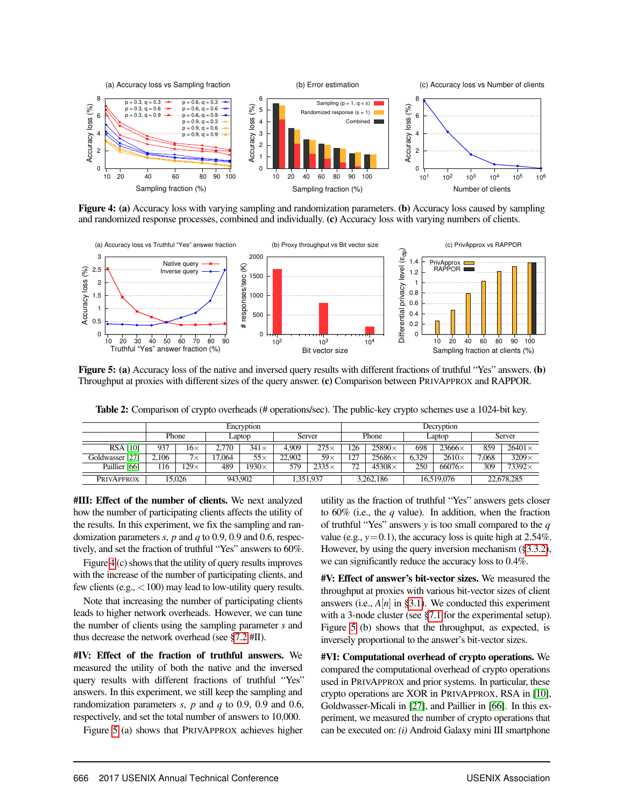

<span id="page-8-1"></span>Figure 4: (a) Accuracy loss with varying sampling and randomization parameters. (b) Accuracy loss caused by sampling and randomized response processes, combined and individually. (c) Accuracy loss with varying numbers of clients.



<span id="page-8-2"></span>Figure 5: (a) Accuracy loss of the native and inversed query results with different fractions of truthful "Yes" answers. (b) Throughput at proxies with different sizes of the query answer. (c) Comparison between PRIVAPPROX and RAPPOR.

<span id="page-8-0"></span>Table 2: Comparison of crypto overheads (# operations/sec). The public-key crypto schemes use a 1024-bit key.

|                   | Encryption |             |       |              | Decryption |              |     |                |       |               |       |               |
|-------------------|------------|-------------|-------|--------------|------------|--------------|-----|----------------|-------|---------------|-------|---------------|
|                   |            | Phone       |       | Laptop       |            | Server       |     | Phone          |       | Laptop        |       | Server        |
| <b>RSA [10]</b>   | 937        | $16\times$  | 2.770 | $341\times$  | 4.909      | $275\times$  | .26 | $25890\times$  | 698   | $23666\times$ | 859   | $26401\times$ |
| Goldwasser [27]   | 2.106      | $7\times$   | 7.064 | $55\times$   | 22.902     | $59\times$   | 127 | 25686 $\times$ | 6.329 | $2610\times$  | 7.068 | $3209\times$  |
| Paillier [66]     | 116        | $129\times$ | 489   | $1930\times$ | 579        | $2335\times$ | 72  | $45308\times$  | 250   | $66076\times$ | 309   | $73392\times$ |
| <b>PRIVAPPROX</b> |            | 15.026      |       | 943,902      |            | 1.351.937    |     | 3,262,186      |       | 16.519.076    |       | 22,678,285    |

#III: Effect of the number of clients. We next analyzed how the number of participating clients affects the utility of the results. In this experiment, we fix the sampling and randomization parameters *s*, *p* and *q* to 0.9, 0.9 and 0.6, respectively, and set the fraction of truthful "Yes" answers to 60%.

Figure [4](#page-8-1) (c) shows that the utility of query results improves with the increase of the number of participating clients, and few clients (e.g.,  $<$  100) may lead to low-utility query results.

Note that increasing the number of participating clients leads to higher network overheads. However, we can tune the number of clients using the sampling parameter *s* and thus decrease the network overhead (see [§7.2](#page-10-0) #II).

#IV: Effect of the fraction of truthful answers. We measured the utility of both the native and the inversed query results with different fractions of truthful "Yes" answers. In this experiment, we still keep the sampling and randomization parameters *s*, *p* and *q* to 0.9, 0.9 and 0.6, respectively, and set the total number of answers to 10,000.

Figure [5](#page-8-2) (a) shows that PRIVAPPROX achieves higher

utility as the fraction of truthful "Yes" answers gets closer to 60% (i.e., the *q* value). In addition, when the fraction of truthful "Yes" answers *y* is too small compared to the *q* value (e.g.,  $y=0.1$ ), the accuracy loss is quite high at 2.54%. However, by using the query inversion mechanism ([§3.3.2\)](#page-6-1), we can significantly reduce the accuracy loss to 0.4%.

#V: Effect of answer's bit-vector sizes. We measured the throughput at proxies with various bit-vector sizes of client answers (i.e.,  $A[n]$  in [§3.1\)](#page-3-1). We conducted this experiment with a 3-node cluster (see [§7.1](#page-9-0) for the experimental setup). Figure [5](#page-8-2) (b) shows that the throughput, as expected, is inversely proportional to the answer's bit-vector sizes.

#VI: Computational overhead of crypto operations. We compared the computational overhead of crypto operations used in PRIVAPPROX and prior systems. In particular, these crypto operations are XOR in PRIVAPPROX, RSA in [\[10\]](#page-12-18), Goldwasser-Micali in [\[27\]](#page-12-14), and Paillier in [\[66\]](#page-13-12). In this experiment, we measured the number of crypto operations that can be executed on: *(i)* Android Galaxy mini III smartphone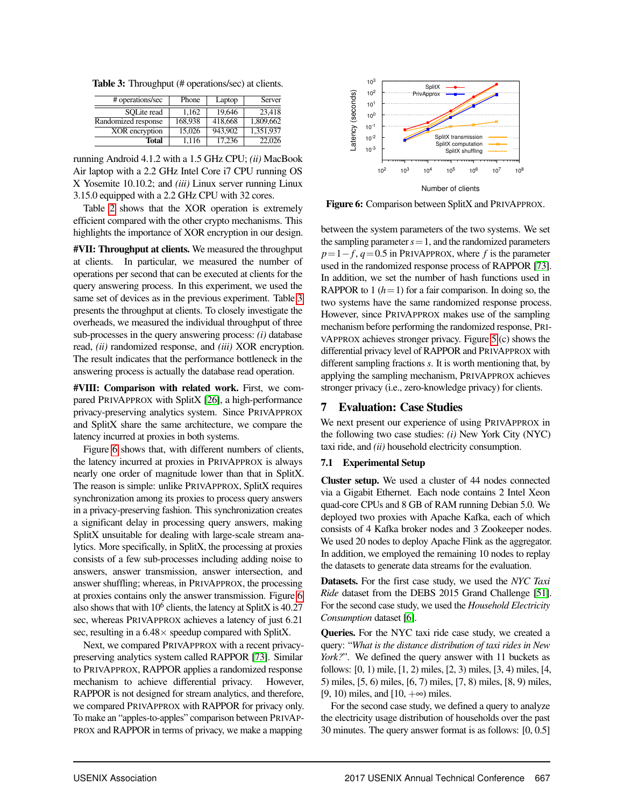<span id="page-9-1"></span>Table 3: Throughput (# operations/sec) at clients.

| # operations/sec    | Phone   | Laptop  | Server    |
|---------------------|---------|---------|-----------|
| SOLite read         | 1.162   | 19.646  | 23.418    |
| Randomized response | 168.938 | 418,668 | 1.809.662 |
| XOR encryption      | 15.026  | 943.902 | 1.351.937 |
| <b>Total</b>        | 1.116   | 17.236  | 22,026    |

running Android 4.1.2 with a 1.5 GHz CPU; *(ii)* MacBook Air laptop with a 2.2 GHz Intel Core i7 CPU running OS X Yosemite 10.10.2; and *(iii)* Linux server running Linux 3.15.0 equipped with a 2.2 GHz CPU with 32 cores.

Table [2](#page-8-0) shows that the XOR operation is extremely efficient compared with the other crypto mechanisms. This highlights the importance of XOR encryption in our design.

#VII: Throughput at clients. We measured the throughput at clients. In particular, we measured the number of operations per second that can be executed at clients for the query answering process. In this experiment, we used the same set of devices as in the previous experiment. Table [3](#page-9-1) presents the throughput at clients. To closely investigate the overheads, we measured the individual throughput of three sub-processes in the query answering process: *(i)* database read, *(ii)* randomized response, and *(iii)* XOR encryption. The result indicates that the performance bottleneck in the answering process is actually the database read operation.

#VIII: Comparison with related work. First, we compared PRIVAPPROX with SplitX [\[26\]](#page-12-5), a high-performance privacy-preserving analytics system. Since PRIVAPPROX and SplitX share the same architecture, we compare the latency incurred at proxies in both systems.

Figure [6](#page-9-2) shows that, with different numbers of clients, the latency incurred at proxies in PRIVAPPROX is always nearly one order of magnitude lower than that in SplitX. The reason is simple: unlike PRIVAPPROX, SplitX requires synchronization among its proxies to process query answers in a privacy-preserving fashion. This synchronization creates a significant delay in processing query answers, making SplitX unsuitable for dealing with large-scale stream analytics. More specifically, in SplitX, the processing at proxies consists of a few sub-processes including adding noise to answers, answer transmission, answer intersection, and answer shuffling; whereas, in PRIVAPPROX, the processing at proxies contains only the answer transmission. Figure [6](#page-9-2) also shows that with  $10^6$  clients, the latency at SplitX is 40.27 sec, whereas PRIVAPPROX achieves a latency of just 6.21 sec, resulting in a  $6.48 \times$  speedup compared with SplitX.

Next, we compared PRIVAPPROX with a recent privacypreserving analytics system called RAPPOR [\[73\]](#page-14-6). Similar to PRIVAPPROX, RAPPOR applies a randomized response mechanism to achieve differential privacy. However, RAPPOR is not designed for stream analytics, and therefore, we compared PRIVAPPROX with RAPPOR for privacy only. To make an "apples-to-apples" comparison between PRIVAP-PROX and RAPPOR in terms of privacy, we make a mapping



<span id="page-9-2"></span>Figure 6: Comparison between SplitX and PRIVAPPROX.

between the system parameters of the two systems. We set the sampling parameter  $s = 1$ , and the randomized parameters  $p=1-f$ ,  $q=0.5$  in PRIVAPPROX, where *f* is the parameter used in the randomized response process of RAPPOR [\[73\]](#page-14-6). In addition, we set the number of hash functions used in RAPPOR to 1  $(h=1)$  for a fair comparison. In doing so, the two systems have the same randomized response process. However, since PRIVAPPROX makes use of the sampling mechanism before performing the randomized response, PRI-VAPPROX achieves stronger privacy. Figure [5](#page-8-2) (c) shows the differential privacy level of RAPPOR and PRIVAPPROX with different sampling fractions *s*. It is worth mentioning that, by applying the sampling mechanism, PRIVAPPROX achieves stronger privacy (i.e., zero-knowledge privacy) for clients.

## 7 Evaluation: Case Studies

We next present our experience of using PRIVAPPROX in the following two case studies: *(i)* New York City (NYC) taxi ride, and *(ii)* household electricity consumption.

#### <span id="page-9-0"></span>7.1 Experimental Setup

Cluster setup. We used a cluster of 44 nodes connected via a Gigabit Ethernet. Each node contains 2 Intel Xeon quad-core CPUs and 8 GB of RAM running Debian 5.0. We deployed two proxies with Apache Kafka, each of which consists of 4 Kafka broker nodes and 3 Zookeeper nodes. We used 20 nodes to deploy Apache Flink as the aggregator. In addition, we employed the remaining 10 nodes to replay the datasets to generate data streams for the evaluation.

Datasets. For the first case study, we used the *NYC Taxi Ride* dataset from the DEBS 2015 Grand Challenge [\[51\]](#page-13-13). For the second case study, we used the *Household Electricity Consumption* dataset [\[6\]](#page-12-19).

Queries. For the NYC taxi ride case study, we created a query: "*What is the distance distribution of taxi rides in New York?*". We defined the query answer with 11 buckets as follows: [0, 1) mile, [1, 2) miles, [2, 3) miles, [3, 4) miles, [4, 5) miles, [5, 6) miles, [6, 7) miles, [7, 8) miles, [8, 9) miles, [9, 10) miles, and  $[10, +\infty)$  miles.

For the second case study, we defined a query to analyze the electricity usage distribution of households over the past 30 minutes. The query answer format is as follows: [0, 0.5]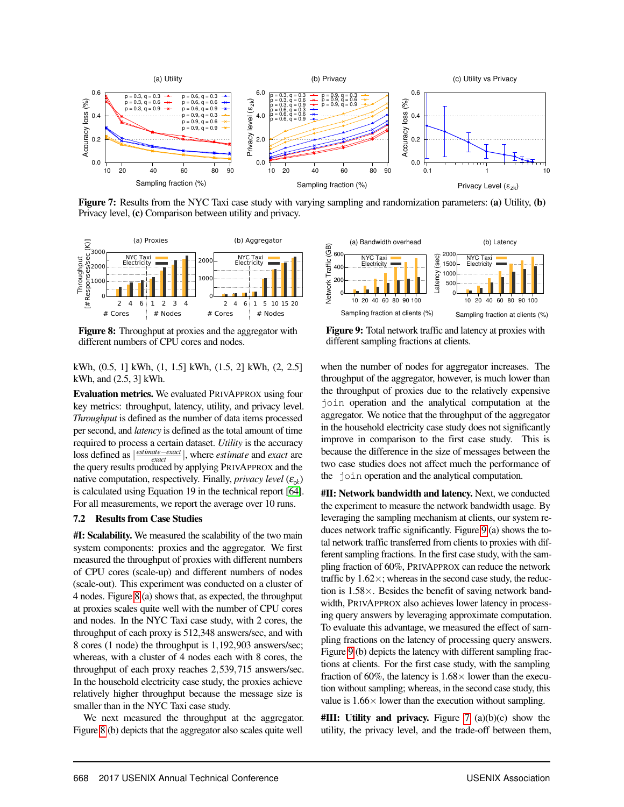

<span id="page-10-3"></span>Figure 7: Results from the NYC Taxi case study with varying sampling and randomization parameters: (a) Utility, (b) Privacy level, (c) Comparison between utility and privacy.



<span id="page-10-1"></span>Figure 8: Throughput at proxies and the aggregator with different numbers of CPU cores and nodes.

kWh, (0.5, 1] kWh, (1, 1.5] kWh, (1.5, 2] kWh, (2, 2.5] kWh, and (2.5, 3] kWh.

Evaluation metrics. We evaluated PRIVAPPROX using four key metrics: throughput, latency, utility, and privacy level. *Throughput* is defined as the number of data items processed per second, and *latency* is defined as the total amount of time required to process a certain dataset. *Utility* is the accuracy *loss defined as |*  $\frac{estimate - exact}{exact}$ *}, where <i>estimate* and *exact* are the query results produced by applying PRIVAPPROX and the native computation, respectively. Finally, *privacy level*  $(\varepsilon_{z_k})$ is calculated using Equation 19 in the technical report [\[64\]](#page-13-5). For all measurements, we report the average over 10 runs.

#### <span id="page-10-0"></span>7.2 Results from Case Studies

#I: Scalability. We measured the scalability of the two main system components: proxies and the aggregator. We first measured the throughput of proxies with different numbers of CPU cores (scale-up) and different numbers of nodes (scale-out). This experiment was conducted on a cluster of 4 nodes. Figure [8](#page-10-1) (a) shows that, as expected, the throughput at proxies scales quite well with the number of CPU cores and nodes. In the NYC Taxi case study, with 2 cores, the throughput of each proxy is 512,348 answers/sec, and with 8 cores (1 node) the throughput is 1,192,903 answers/sec; whereas, with a cluster of 4 nodes each with 8 cores, the throughput of each proxy reaches 2,539,715 answers/sec. In the household electricity case study, the proxies achieve relatively higher throughput because the message size is smaller than in the NYC Taxi case study.

We next measured the throughput at the aggregator. Figure [8](#page-10-1) (b) depicts that the aggregator also scales quite well



<span id="page-10-2"></span>Figure 9: Total network traffic and latency at proxies with different sampling fractions at clients.

when the number of nodes for aggregator increases. The throughput of the aggregator, however, is much lower than the throughput of proxies due to the relatively expensive join operation and the analytical computation at the aggregator. We notice that the throughput of the aggregator in the household electricity case study does not significantly improve in comparison to the first case study. This is because the difference in the size of messages between the two case studies does not affect much the performance of the join operation and the analytical computation.

#II: Network bandwidth and latency. Next, we conducted the experiment to measure the network bandwidth usage. By leveraging the sampling mechanism at clients, our system reduces network traffic significantly. Figure [9](#page-10-2) (a) shows the total network traffic transferred from clients to proxies with different sampling fractions. In the first case study, with the sampling fraction of 60%, PRIVAPPROX can reduce the network traffic by  $1.62 \times$ ; whereas in the second case study, the reduction is  $1.58\times$ . Besides the benefit of saving network bandwidth, PRIVAPPROX also achieves lower latency in processing query answers by leveraging approximate computation. To evaluate this advantage, we measured the effect of sampling fractions on the latency of processing query answers. Figure [9](#page-10-2) (b) depicts the latency with different sampling fractions at clients. For the first case study, with the sampling fraction of 60%, the latency is  $1.68 \times$  lower than the execution without sampling; whereas, in the second case study, this value is  $1.66 \times$  lower than the execution without sampling.

 $\#III$ : Utility and privacy. Figure [7](#page-10-3) (a)(b)(c) show the utility, the privacy level, and the trade-off between them,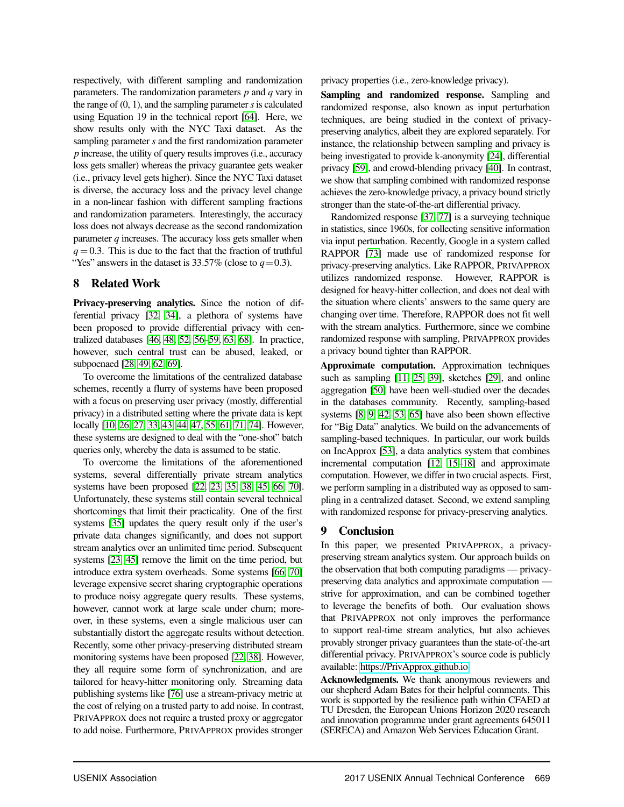respectively, with different sampling and randomization parameters. The randomization parameters *p* and *q* vary in the range of  $(0, 1)$ , and the sampling parameter *s* is calculated using Equation 19 in the technical report [\[64\]](#page-13-5). Here, we show results only with the NYC Taxi dataset. As the sampling parameter *s* and the first randomization parameter *p* increase, the utility of query results improves (i.e., accuracy loss gets smaller) whereas the privacy guarantee gets weaker (i.e., privacy level gets higher). Since the NYC Taxi dataset is diverse, the accuracy loss and the privacy level change in a non-linear fashion with different sampling fractions and randomization parameters. Interestingly, the accuracy loss does not always decrease as the second randomization parameter *q* increases. The accuracy loss gets smaller when  $q = 0.3$ . This is due to the fact that the fraction of truthful "Yes" answers in the dataset is 33.57% (close to  $q=0.3$ ).

# <span id="page-11-0"></span>8 Related Work

Privacy-preserving analytics. Since the notion of differential privacy [\[32,](#page-12-4) [34\]](#page-13-14), a plethora of systems have been proposed to provide differential privacy with centralized databases [\[46,](#page-13-15) [48,](#page-13-16) [52,](#page-13-17) [56](#page-13-18)[–59,](#page-13-19) [63,](#page-13-20) [68\]](#page-14-7). In practice, however, such central trust can be abused, leaked, or subpoenaed [\[28,](#page-12-3) [49,](#page-13-0) [62,](#page-13-1) [69\]](#page-14-0).

To overcome the limitations of the centralized database schemes, recently a flurry of systems have been proposed with a focus on preserving user privacy (mostly, differential privacy) in a distributed setting where the private data is kept locally [\[10,](#page-12-18) [26,](#page-12-5) [27,](#page-12-14) [33,](#page-12-20) [43,](#page-13-21) [44,](#page-13-22) [47,](#page-13-23) [55,](#page-13-24) [61,](#page-13-25) [71,](#page-14-8) [74\]](#page-14-9). However, these systems are designed to deal with the "one-shot" batch queries only, whereby the data is assumed to be static.

To overcome the limitations of the aforementioned systems, several differentially private stream analytics systems have been proposed [\[22,](#page-12-21) [23,](#page-12-22) [35,](#page-13-26) [38,](#page-13-27) [45,](#page-13-28) [66,](#page-13-12) [70\]](#page-14-10). Unfortunately, these systems still contain several technical shortcomings that limit their practicality. One of the first systems [\[35\]](#page-13-26) updates the query result only if the user's private data changes significantly, and does not support stream analytics over an unlimited time period. Subsequent systems [\[23,](#page-12-22) [45\]](#page-13-28) remove the limit on the time period, but introduce extra system overheads. Some systems [\[66,](#page-13-12) [70\]](#page-14-10) leverage expensive secret sharing cryptographic operations to produce noisy aggregate query results. These systems, however, cannot work at large scale under churn; moreover, in these systems, even a single malicious user can substantially distort the aggregate results without detection. Recently, some other privacy-preserving distributed stream monitoring systems have been proposed [\[22,](#page-12-21) [38\]](#page-13-27). However, they all require some form of synchronization, and are tailored for heavy-hitter monitoring only. Streaming data publishing systems like [\[76\]](#page-14-11) use a stream-privacy metric at the cost of relying on a trusted party to add noise. In contrast, PRIVAPPROX does not require a trusted proxy or aggregator to add noise. Furthermore, PRIVAPPROX provides stronger

privacy properties (i.e., zero-knowledge privacy).

Sampling and randomized response. Sampling and randomized response, also known as input perturbation techniques, are being studied in the context of privacypreserving analytics, albeit they are explored separately. For instance, the relationship between sampling and privacy is being investigated to provide k-anonymity [\[24\]](#page-12-23), differential privacy [\[59\]](#page-13-19), and crowd-blending privacy [\[40\]](#page-13-10). In contrast, we show that sampling combined with randomized response achieves the zero-knowledge privacy, a privacy bound strictly stronger than the state-of-the-art differential privacy.

Randomized response [\[37,](#page-13-3) [77\]](#page-14-12) is a surveying technique in statistics, since 1960s, for collecting sensitive information via input perturbation. Recently, Google in a system called RAPPOR [\[73\]](#page-14-6) made use of randomized response for privacy-preserving analytics. Like RAPPOR, PRIVAPPROX utilizes randomized response. However, RAPPOR is designed for heavy-hitter collection, and does not deal with the situation where clients' answers to the same query are changing over time. Therefore, RAPPOR does not fit well with the stream analytics. Furthermore, since we combine randomized response with sampling, PRIVAPPROX provides a privacy bound tighter than RAPPOR.

Approximate computation. Approximation techniques such as sampling [\[11,](#page-12-24) [25,](#page-12-25) [39\]](#page-13-29), sketches [\[29\]](#page-12-26), and online aggregation [\[50\]](#page-13-30) have been well-studied over the decades in the databases community. Recently, sampling-based systems [\[8,](#page-12-12) [9,](#page-12-13) [42,](#page-13-6) [53,](#page-13-7) [65\]](#page-13-8) have also been shown effective for "Big Data" analytics. We build on the advancements of sampling-based techniques. In particular, our work builds on IncApprox [\[53\]](#page-13-7), a data analytics system that combines incremental computation [\[12,](#page-12-27) [15](#page-12-28)[–18\]](#page-12-29) and approximate computation. However, we differ in two crucial aspects. First, we perform sampling in a distributed way as opposed to sampling in a centralized dataset. Second, we extend sampling with randomized response for privacy-preserving analytics.

# 9 Conclusion

In this paper, we presented PRIVAPPROX, a privacypreserving stream analytics system. Our approach builds on the observation that both computing paradigms — privacypreserving data analytics and approximate computation strive for approximation, and can be combined together to leverage the benefits of both. Our evaluation shows that PRIVAPPROX not only improves the performance to support real-time stream analytics, but also achieves provably stronger privacy guarantees than the state-of-the-art differential privacy. PRIVAPPROX's source code is publicly available: [https://PrivApprox.github.io.](https://privapprox.github.io)

Acknowledgments. We thank anonymous reviewers and our shepherd Adam Bates for their helpful comments. This work is supported by the resilience path within CFAED at TU Dresden, the European Unions Horizon 2020 research and innovation programme under grant agreements 645011 (SERECA) and Amazon Web Services Education Grant.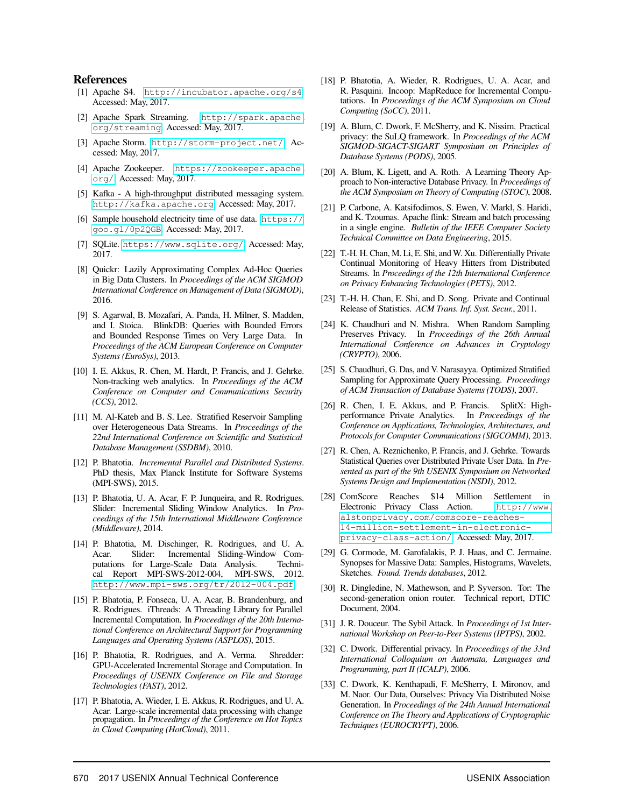#### References

- <span id="page-12-0"></span>[1] Apache S4. <http://incubator.apache.org/s4>. Accessed: May, 2017.
- [2] Apache Spark Streaming. [http://spark.apache.](http://spark.apache.org/streaming) [org/streaming](http://spark.apache.org/streaming). Accessed: May, 2017.
- <span id="page-12-1"></span>[3] Apache Storm. <http://storm-project.net/>. Accessed: May, 2017.
- <span id="page-12-17"></span>[4] Apache Zookeeper. [https://zookeeper.apache.](https://zookeeper.apache.org/) [org/](https://zookeeper.apache.org/). Accessed: May, 2017.
- <span id="page-12-16"></span>[5] Kafka - A high-throughput distributed messaging system. <http://kafka.apache.org>. Accessed: May, 2017.
- <span id="page-12-19"></span>[6] Sample household electricity time of use data. [https://](https://goo.gl/0p2QGB) [goo.gl/0p2QGB](https://goo.gl/0p2QGB). Accessed: May, 2017.
- <span id="page-12-6"></span>[7] SQLite. <https://www.sqlite.org/>. Accessed: May, 2017.
- <span id="page-12-12"></span>[8] Quickr: Lazily Approximating Complex Ad-Hoc Queries in Big Data Clusters. In *Proceedings of the ACM SIGMOD International Conference on Management of Data (SIGMOD)*, 2016.
- <span id="page-12-13"></span>[9] S. Agarwal, B. Mozafari, A. Panda, H. Milner, S. Madden, and I. Stoica. BlinkDB: Queries with Bounded Errors and Bounded Response Times on Very Large Data. In *Proceedings of the ACM European Conference on Computer Systems (EuroSys)*, 2013.
- <span id="page-12-18"></span>[10] I. E. Akkus, R. Chen, M. Hardt, P. Francis, and J. Gehrke. Non-tracking web analytics. In *Proceedings of the ACM Conference on Computer and Communications Security (CCS)*, 2012.
- <span id="page-12-24"></span>[11] M. Al-Kateb and B. S. Lee. Stratified Reservoir Sampling over Heterogeneous Data Streams. In *Proceedings of the 22nd International Conference on Scientific and Statistical Database Management (SSDBM)*, 2010.
- <span id="page-12-27"></span>[12] P. Bhatotia. *Incremental Parallel and Distributed Systems*. PhD thesis, Max Planck Institute for Software Systems (MPI-SWS), 2015.
- <span id="page-12-11"></span>[13] P. Bhatotia, U. A. Acar, F. P. Junqueira, and R. Rodrigues. Slider: Incremental Sliding Window Analytics. In *Proceedings of the 15th International Middleware Conference (Middleware)*, 2014.
- <span id="page-12-7"></span>[14] P. Bhatotia, M. Dischinger, R. Rodrigues, and U. A. Slider: Incremental Sliding-Window Computations for Large-Scale Data Analysis. Technical Report MPI-SWS-2012-004, MPI-SWS, 2012. <http://www.mpi-sws.org/tr/2012-004.pdf>.
- <span id="page-12-28"></span>[15] P. Bhatotia, P. Fonseca, U. A. Acar, B. Brandenburg, and R. Rodrigues. iThreads: A Threading Library for Parallel Incremental Computation. In *Proceedings of the 20th International Conference on Architectural Support for Programming Languages and Operating Systems (ASPLOS)*, 2015.
- [16] P. Bhatotia, R. Rodrigues, and A. Verma. Shredder: GPU-Accelerated Incremental Storage and Computation. In *Proceedings of USENIX Conference on File and Storage Technologies (FAST)*, 2012.
- [17] P. Bhatotia, A. Wieder, I. E. Akkus, R. Rodrigues, and U. A. Acar. Large-scale incremental data processing with change propagation. In *Proceedings of the Conference on Hot Topics in Cloud Computing (HotCloud)*, 2011.
- <span id="page-12-29"></span>[18] P. Bhatotia, A. Wieder, R. Rodrigues, U. A. Acar, and R. Pasquini. Incoop: MapReduce for Incremental Computations. In *Proceedings of the ACM Symposium on Cloud Computing (SoCC)*, 2011.
- <span id="page-12-8"></span>[19] A. Blum, C. Dwork, F. McSherry, and K. Nissim. Practical privacy: the SuLQ framework. In *Proceedings of the ACM SIGMOD-SIGACT-SIGART Symposium on Principles of Database Systems (PODS)*, 2005.
- <span id="page-12-9"></span>[20] A. Blum, K. Ligett, and A. Roth. A Learning Theory Approach to Non-interactive Database Privacy. In *Proceedings of the ACM Symposium on Theory of Computing (STOC)*, 2008.
- <span id="page-12-2"></span>[21] P. Carbone, A. Katsifodimos, S. Ewen, V. Markl, S. Haridi, and K. Tzoumas. Apache flink: Stream and batch processing in a single engine. *Bulletin of the IEEE Computer Society Technical Committee on Data Engineering*, 2015.
- <span id="page-12-21"></span>[22] T.-H. H. Chan, M. Li, E. Shi, and W. Xu. Differentially Private Continual Monitoring of Heavy Hitters from Distributed Streams. In *Proceedings of the 12th International Conference on Privacy Enhancing Technologies (PETS)*, 2012.
- <span id="page-12-22"></span>[23] T.-H. H. Chan, E. Shi, and D. Song. Private and Continual Release of Statistics. *ACM Trans. Inf. Syst. Secur.*, 2011.
- <span id="page-12-23"></span>[24] K. Chaudhuri and N. Mishra. When Random Sampling Preserves Privacy. In *Proceedings of the 26th Annual International Conference on Advances in Cryptology (CRYPTO)*, 2006.
- <span id="page-12-25"></span>[25] S. Chaudhuri, G. Das, and V. Narasayya. Optimized Stratified Sampling for Approximate Query Processing. *Proceedings of ACM Transaction of Database Systems (TODS)*, 2007.
- <span id="page-12-5"></span>[26] R. Chen, I. E. Akkus, and P. Francis. SplitX: Highperformance Private Analytics. In *Proceedings of the Conference on Applications, Technologies, Architectures, and Protocols for Computer Communications (SIGCOMM)*, 2013.
- <span id="page-12-14"></span>[27] R. Chen, A. Reznichenko, P. Francis, and J. Gehrke. Towards Statistical Queries over Distributed Private User Data. In *Presented as part of the 9th USENIX Symposium on Networked Systems Design and Implementation (NSDI)*, 2012.
- <span id="page-12-3"></span>[28] ComScore Reaches \$14 Million Settlement in Electronic Privacy Class Action. [http://www.](http://www.alstonprivacy.com/comscore-reaches-14-million-settlement-in-electronic-privacy-class-action/) [alstonprivacy.com/comscore-reaches-](http://www.alstonprivacy.com/comscore-reaches-14-million-settlement-in-electronic-privacy-class-action/)[14-million-settlement-in-electronic](http://www.alstonprivacy.com/comscore-reaches-14-million-settlement-in-electronic-privacy-class-action/)[privacy-class-action/](http://www.alstonprivacy.com/comscore-reaches-14-million-settlement-in-electronic-privacy-class-action/). Accessed: May, 2017.
- <span id="page-12-26"></span>[29] G. Cormode, M. Garofalakis, P. J. Haas, and C. Jermaine. Synopses for Massive Data: Samples, Histograms, Wavelets, Sketches. *Found. Trends databases*, 2012.
- <span id="page-12-15"></span>[30] R. Dingledine, N. Mathewson, and P. Syverson. Tor: The second-generation onion router. Technical report, DTIC Document, 2004.
- <span id="page-12-10"></span>[31] J. R. Douceur. The Sybil Attack. In *Proceedings of 1st International Workshop on Peer-to-Peer Systems (IPTPS)*, 2002.
- <span id="page-12-4"></span>[32] C. Dwork. Differential privacy. In *Proceedings of the 33rd International Colloquium on Automata, Languages and Programming, part II (ICALP)*, 2006.
- <span id="page-12-20"></span>[33] C. Dwork, K. Kenthapadi, F. McSherry, I. Mironov, and M. Naor. Our Data, Ourselves: Privacy Via Distributed Noise Generation. In *Proceedings of the 24th Annual International Conference on The Theory and Applications of Cryptographic Techniques (EUROCRYPT)*, 2006.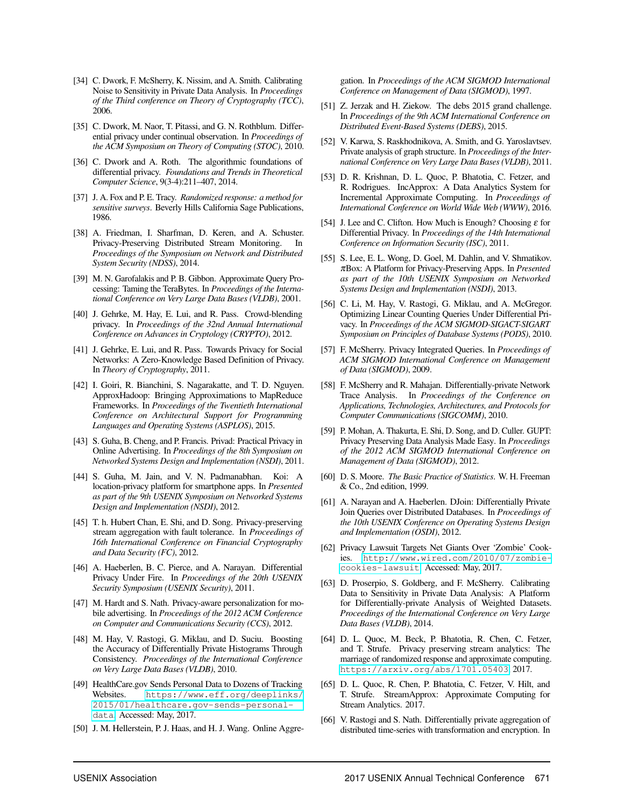- <span id="page-13-14"></span>[34] C. Dwork, F. McSherry, K. Nissim, and A. Smith. Calibrating Noise to Sensitivity in Private Data Analysis. In *Proceedings of the Third conference on Theory of Cryptography (TCC)*, 2006.
- <span id="page-13-26"></span>[35] C. Dwork, M. Naor, T. Pitassi, and G. N. Rothblum. Differential privacy under continual observation. In *Proceedings of the ACM Symposium on Theory of Computing (STOC)*, 2010.
- <span id="page-13-9"></span>[36] C. Dwork and A. Roth. The algorithmic foundations of differential privacy. *Foundations and Trends in Theoretical Computer Science*, 9(3-4):211–407, 2014.
- <span id="page-13-3"></span>[37] J. A. Fox and P. E. Tracy. *Randomized response: a method for sensitive surveys*. Beverly Hills California Sage Publications, 1986.
- <span id="page-13-27"></span>[38] A. Friedman, I. Sharfman, D. Keren, and A. Schuster. Privacy-Preserving Distributed Stream Monitoring. In *Proceedings of the Symposium on Network and Distributed System Security (NDSS)*, 2014.
- <span id="page-13-29"></span>[39] M. N. Garofalakis and P. B. Gibbon. Approximate Query Processing: Taming the TeraBytes. In *Proceedings of the International Conference on Very Large Data Bases (VLDB)*, 2001.
- <span id="page-13-10"></span>[40] J. Gehrke, M. Hay, E. Lui, and R. Pass. Crowd-blending privacy. In *Proceedings of the 32nd Annual International Conference on Advances in Cryptology (CRYPTO)*, 2012.
- <span id="page-13-4"></span>[41] J. Gehrke, E. Lui, and R. Pass. Towards Privacy for Social Networks: A Zero-Knowledge Based Definition of Privacy. In *Theory of Cryptography*, 2011.
- <span id="page-13-6"></span>[42] I. Goiri, R. Bianchini, S. Nagarakatte, and T. D. Nguyen. ApproxHadoop: Bringing Approximations to MapReduce Frameworks. In *Proceedings of the Twentieth International Conference on Architectural Support for Programming Languages and Operating Systems (ASPLOS)*, 2015.
- <span id="page-13-21"></span>[43] S. Guha, B. Cheng, and P. Francis. Privad: Practical Privacy in Online Advertising. In *Proceedings of the 8th Symposium on Networked Systems Design and Implementation (NSDI)*, 2011.
- <span id="page-13-22"></span>[44] S. Guha, M. Jain, and V. N. Padmanabhan. Koi: A location-privacy platform for smartphone apps. In *Presented as part of the 9th USENIX Symposium on Networked Systems Design and Implementation (NSDI)*, 2012.
- <span id="page-13-28"></span>[45] T. h. Hubert Chan, E. Shi, and D. Song. Privacy-preserving stream aggregation with fault tolerance. In *Proceedings of 16th International Conference on Financial Cryptography and Data Security (FC)*, 2012.
- <span id="page-13-15"></span>[46] A. Haeberlen, B. C. Pierce, and A. Narayan. Differential Privacy Under Fire. In *Proceedings of the 20th USENIX Security Symposium (USENIX Security)*, 2011.
- <span id="page-13-23"></span>[47] M. Hardt and S. Nath. Privacy-aware personalization for mobile advertising. In *Proceedings of the 2012 ACM Conference on Computer and Communications Security (CCS)*, 2012.
- <span id="page-13-16"></span>[48] M. Hay, V. Rastogi, G. Miklau, and D. Suciu. Boosting the Accuracy of Differentially Private Histograms Through Consistency. *Proceedings of the International Conference on Very Large Data Bases (VLDB)*, 2010.
- <span id="page-13-0"></span>[49] HealthCare.gov Sends Personal Data to Dozens of Tracking Websites. [https://www.eff.org/deeplinks/](https://www.eff.org/deeplinks/2015/01/healthcare.gov-sends-personal-data) [2015/01/healthcare.gov-sends-personal](https://www.eff.org/deeplinks/2015/01/healthcare.gov-sends-personal-data)[data](https://www.eff.org/deeplinks/2015/01/healthcare.gov-sends-personal-data). Accessed: May, 2017.
- <span id="page-13-30"></span>[50] J. M. Hellerstein, P. J. Haas, and H. J. Wang. Online Aggre-

gation. In *Proceedings of the ACM SIGMOD International Conference on Management of Data (SIGMOD)*, 1997.

- <span id="page-13-13"></span>[51] Z. Jerzak and H. Ziekow. The debs 2015 grand challenge. In *Proceedings of the 9th ACM International Conference on Distributed Event-Based Systems (DEBS)*, 2015.
- <span id="page-13-17"></span>[52] V. Karwa, S. Raskhodnikova, A. Smith, and G. Yaroslavtsev. Private analysis of graph structure. In *Proceedings of the International Conference on Very Large Data Bases (VLDB)*, 2011.
- <span id="page-13-7"></span>[53] D. R. Krishnan, D. L. Quoc, P. Bhatotia, C. Fetzer, and R. Rodrigues. IncApprox: A Data Analytics System for Incremental Approximate Computing. In *Proceedings of International Conference on World Wide Web (WWW)*, 2016.
- <span id="page-13-11"></span>[54] J. Lee and C. Clifton. How Much is Enough? Choosing  $\varepsilon$  for Differential Privacy. In *Proceedings of the 14th International Conference on Information Security (ISC)*, 2011.
- <span id="page-13-24"></span>[55] S. Lee, E. L. Wong, D. Goel, M. Dahlin, and V. Shmatikov. πBox: A Platform for Privacy-Preserving Apps. In *Presented as part of the 10th USENIX Symposium on Networked Systems Design and Implementation (NSDI)*, 2013.
- <span id="page-13-18"></span>[56] C. Li, M. Hay, V. Rastogi, G. Miklau, and A. McGregor. Optimizing Linear Counting Queries Under Differential Privacy. In *Proceedings of the ACM SIGMOD-SIGACT-SIGART Symposium on Principles of Database Systems (PODS)*, 2010.
- [57] F. McSherry. Privacy Integrated Queries. In *Proceedings of ACM SIGMOD International Conference on Management of Data (SIGMOD)*, 2009.
- [58] F. McSherry and R. Mahajan. Differentially-private Network Trace Analysis. In *Proceedings of the Conference on Applications, Technologies, Architectures, and Protocols for Computer Communications (SIGCOMM)*, 2010.
- <span id="page-13-19"></span>[59] P. Mohan, A. Thakurta, E. Shi, D. Song, and D. Culler. GUPT: Privacy Preserving Data Analysis Made Easy. In *Proceedings of the 2012 ACM SIGMOD International Conference on Management of Data (SIGMOD)*, 2012.
- <span id="page-13-2"></span>[60] D. S. Moore. *The Basic Practice of Statistics*. W. H. Freeman & Co., 2nd edition, 1999.
- <span id="page-13-25"></span>[61] A. Narayan and A. Haeberlen. DJoin: Differentially Private Join Queries over Distributed Databases. In *Proceedings of the 10th USENIX Conference on Operating Systems Design and Implementation (OSDI)*, 2012.
- <span id="page-13-1"></span>[62] Privacy Lawsuit Targets Net Giants Over 'Zombie' Cookies. [http://www.wired.com/2010/07/zombie](http://www.wired.com/2010/07/zombie-cookies-lawsuit)[cookies-lawsuit](http://www.wired.com/2010/07/zombie-cookies-lawsuit). Accessed: May, 2017.
- <span id="page-13-20"></span>[63] D. Proserpio, S. Goldberg, and F. McSherry. Calibrating Data to Sensitivity in Private Data Analysis: A Platform for Differentially-private Analysis of Weighted Datasets. *Proceedings of the International Conference on Very Large Data Bases (VLDB)*, 2014.
- <span id="page-13-5"></span>[64] D. L. Quoc, M. Beck, P. Bhatotia, R. Chen, C. Fetzer, and T. Strufe. Privacy preserving stream analytics: The marriage of randomized response and approximate computing. <https://arxiv.org/abs/1701.05403>, 2017.
- <span id="page-13-8"></span>[65] D. L. Quoc, R. Chen, P. Bhatotia, C. Fetzer, V. Hilt, and T. Strufe. StreamApprox: Approximate Computing for Stream Analytics. 2017.
- <span id="page-13-12"></span>[66] V. Rastogi and S. Nath. Differentially private aggregation of distributed time-series with transformation and encryption. In